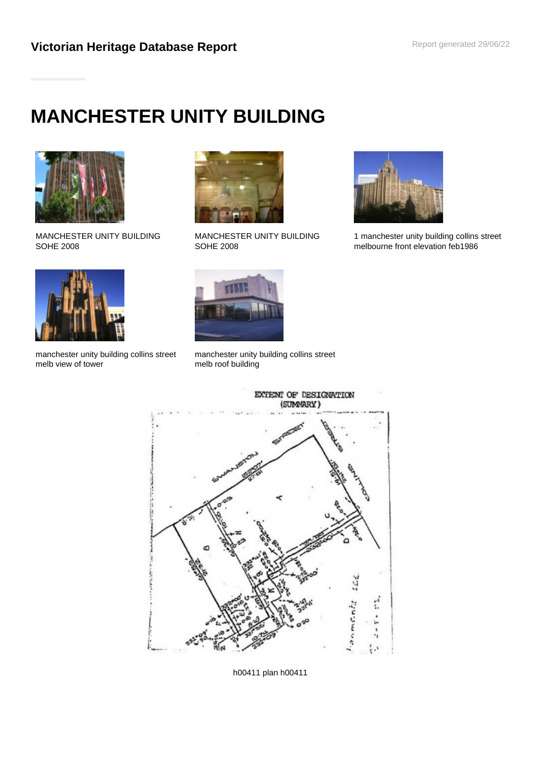# **MANCHESTER UNITY BUILDING**



MANCHESTER UNITY BUILDING SOHE 2008



manchester unity building collins street melb view of tower



MANCHESTER UNITY BUILDING SOHE 2008



1 manchester unity building collins street melbourne front elevation feb1986



manchester unity building collins street melb roof building



h00411 plan h00411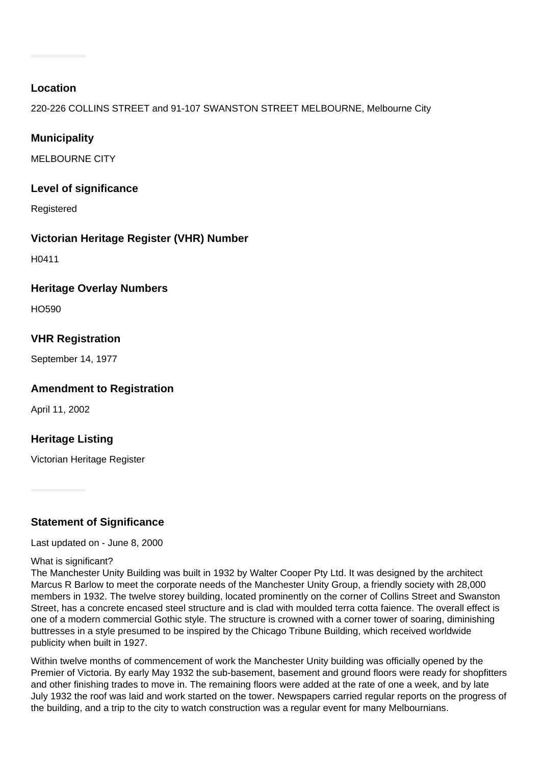#### **Location**

220-226 COLLINS STREET and 91-107 SWANSTON STREET MELBOURNE, Melbourne City

# **Municipality**

MELBOURNE CITY

## **Level of significance**

Registered

## **Victorian Heritage Register (VHR) Number**

H0411

#### **Heritage Overlay Numbers**

HO590

## **VHR Registration**

September 14, 1977

## **Amendment to Registration**

April 11, 2002

## **Heritage Listing**

Victorian Heritage Register

## **Statement of Significance**

Last updated on - June 8, 2000

#### What is significant?

The Manchester Unity Building was built in 1932 by Walter Cooper Pty Ltd. It was designed by the architect Marcus R Barlow to meet the corporate needs of the Manchester Unity Group, a friendly society with 28,000 members in 1932. The twelve storey building, located prominently on the corner of Collins Street and Swanston Street, has a concrete encased steel structure and is clad with moulded terra cotta faience. The overall effect is one of a modern commercial Gothic style. The structure is crowned with a corner tower of soaring, diminishing buttresses in a style presumed to be inspired by the Chicago Tribune Building, which received worldwide publicity when built in 1927.

Within twelve months of commencement of work the Manchester Unity building was officially opened by the Premier of Victoria. By early May 1932 the sub-basement, basement and ground floors were ready for shopfitters and other finishing trades to move in. The remaining floors were added at the rate of one a week, and by late July 1932 the roof was laid and work started on the tower. Newspapers carried regular reports on the progress of the building, and a trip to the city to watch construction was a regular event for many Melbournians.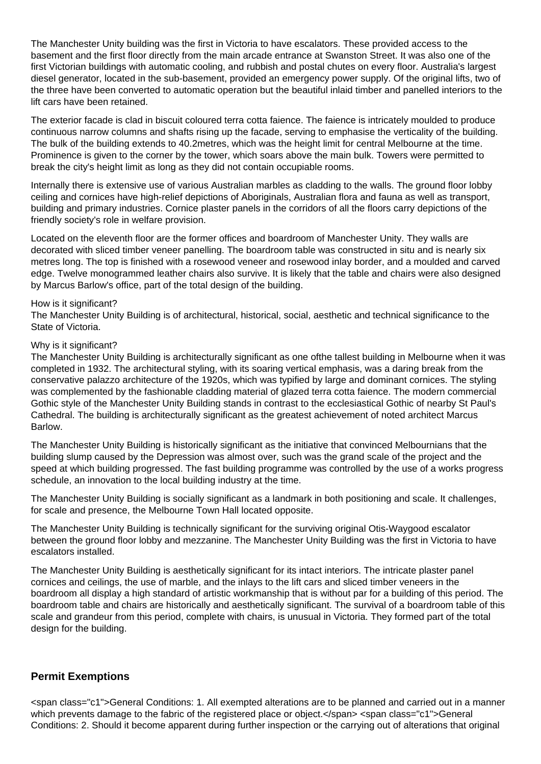The Manchester Unity building was the first in Victoria to have escalators. These provided access to the basement and the first floor directly from the main arcade entrance at Swanston Street. It was also one of the first Victorian buildings with automatic cooling, and rubbish and postal chutes on every floor. Australia's largest diesel generator, located in the sub-basement, provided an emergency power supply. Of the original lifts, two of the three have been converted to automatic operation but the beautiful inlaid timber and panelled interiors to the lift cars have been retained.

The exterior facade is clad in biscuit coloured terra cotta faience. The faience is intricately moulded to produce continuous narrow columns and shafts rising up the facade, serving to emphasise the verticality of the building. The bulk of the building extends to 40.2metres, which was the height limit for central Melbourne at the time. Prominence is given to the corner by the tower, which soars above the main bulk. Towers were permitted to break the city's height limit as long as they did not contain occupiable rooms.

Internally there is extensive use of various Australian marbles as cladding to the walls. The ground floor lobby ceiling and cornices have high-relief depictions of Aboriginals, Australian flora and fauna as well as transport, building and primary industries. Cornice plaster panels in the corridors of all the floors carry depictions of the friendly society's role in welfare provision.

Located on the eleventh floor are the former offices and boardroom of Manchester Unity. They walls are decorated with sliced timber veneer panelling. The boardroom table was constructed in situ and is nearly six metres long. The top is finished with a rosewood veneer and rosewood inlay border, and a moulded and carved edge. Twelve monogrammed leather chairs also survive. It is likely that the table and chairs were also designed by Marcus Barlow's office, part of the total design of the building.

#### How is it significant?

The Manchester Unity Building is of architectural, historical, social, aesthetic and technical significance to the State of Victoria.

#### Why is it significant?

The Manchester Unity Building is architecturally significant as one ofthe tallest building in Melbourne when it was completed in 1932. The architectural styling, with its soaring vertical emphasis, was a daring break from the conservative palazzo architecture of the 1920s, which was typified by large and dominant cornices. The styling was complemented by the fashionable cladding material of glazed terra cotta faience. The modern commercial Gothic style of the Manchester Unity Building stands in contrast to the ecclesiastical Gothic of nearby St Paul's Cathedral. The building is architecturally significant as the greatest achievement of noted architect Marcus Barlow.

The Manchester Unity Building is historically significant as the initiative that convinced Melbournians that the building slump caused by the Depression was almost over, such was the grand scale of the project and the speed at which building progressed. The fast building programme was controlled by the use of a works progress schedule, an innovation to the local building industry at the time.

The Manchester Unity Building is socially significant as a landmark in both positioning and scale. It challenges, for scale and presence, the Melbourne Town Hall located opposite.

The Manchester Unity Building is technically significant for the surviving original Otis-Waygood escalator between the ground floor lobby and mezzanine. The Manchester Unity Building was the first in Victoria to have escalators installed.

The Manchester Unity Building is aesthetically significant for its intact interiors. The intricate plaster panel cornices and ceilings, the use of marble, and the inlays to the lift cars and sliced timber veneers in the boardroom all display a high standard of artistic workmanship that is without par for a building of this period. The boardroom table and chairs are historically and aesthetically significant. The survival of a boardroom table of this scale and grandeur from this period, complete with chairs, is unusual in Victoria. They formed part of the total design for the building.

#### **Permit Exemptions**

<span class="c1">General Conditions: 1. All exempted alterations are to be planned and carried out in a manner which prevents damage to the fabric of the registered place or object.</span> <span class="c1">General Conditions: 2. Should it become apparent during further inspection or the carrying out of alterations that original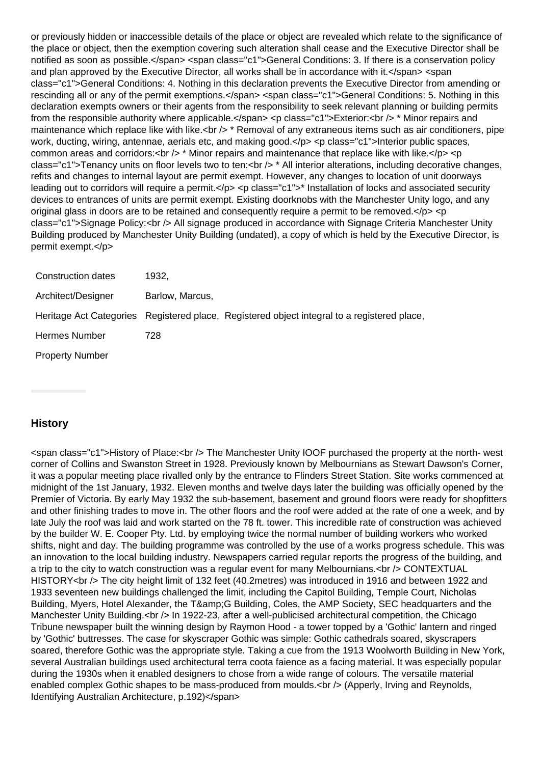or previously hidden or inaccessible details of the place or object are revealed which relate to the significance of the place or object, then the exemption covering such alteration shall cease and the Executive Director shall be notified as soon as possible.</span> <span class="c1">General Conditions: 3. If there is a conservation policy and plan approved by the Executive Director, all works shall be in accordance with it. </span> <span class="c1">General Conditions: 4. Nothing in this declaration prevents the Executive Director from amending or rescinding all or any of the permit exemptions.</span> <span class="c1">General Conditions: 5. Nothing in this declaration exempts owners or their agents from the responsibility to seek relevant planning or building permits from the responsible authority where applicable.</span> <p class="c1">Exterior:<br />>/> \* Minor repairs and maintenance which replace like with like.<br  $/$  \* Removal of any extraneous items such as air conditioners, pipe work, ducting, wiring, antennae, aerials etc, and making good.</p> <p class="c1">Interior public spaces, common areas and corridors:  $\left|b\right| > \left\langle b\right|$  Minor repairs and maintenance that replace like with like. $\left|c\right| > \left|c\right|$ class="c1">Tenancy units on floor levels two to ten:<br /> $\ge$  \* All interior alterations, including decorative changes, refits and changes to internal layout are permit exempt. However, any changes to location of unit doorways leading out to corridors will require a permit.</p> <p class="c1">\* Installation of locks and associated security devices to entrances of units are permit exempt. Existing doorknobs with the Manchester Unity logo, and any original glass in doors are to be retained and consequently require a permit to be removed. $\langle p \rangle \langle p \rangle$ class="c1">Signage Policy:<br />> All signage produced in accordance with Signage Criteria Manchester Unity Building produced by Manchester Unity Building (undated), a copy of which is held by the Executive Director, is permit exempt.</p>

| Construction dates     | 1932.           |                                                                                             |
|------------------------|-----------------|---------------------------------------------------------------------------------------------|
| Architect/Designer     | Barlow, Marcus, |                                                                                             |
|                        |                 | Heritage Act Categories Registered place, Registered object integral to a registered place, |
| Hermes Number          | 728             |                                                                                             |
| <b>Property Number</b> |                 |                                                                                             |

# **History**

<span class="c1">History of Place:<br /> The Manchester Unity IOOF purchased the property at the north- west corner of Collins and Swanston Street in 1928. Previously known by Melbournians as Stewart Dawson's Corner, it was a popular meeting place rivalled only by the entrance to Flinders Street Station. Site works commenced at midnight of the 1st January, 1932. Eleven months and twelve days later the building was officially opened by the Premier of Victoria. By early May 1932 the sub-basement, basement and ground floors were ready for shopfitters and other finishing trades to move in. The other floors and the roof were added at the rate of one a week, and by late July the roof was laid and work started on the 78 ft. tower. This incredible rate of construction was achieved by the builder W. E. Cooper Pty. Ltd. by employing twice the normal number of building workers who worked shifts, night and day. The building programme was controlled by the use of a works progress schedule. This was an innovation to the local building industry. Newspapers carried regular reports the progress of the building, and a trip to the city to watch construction was a regular event for many Melbournians.<br />>>>> CONTEXTUAL HISTORY<br /> The city height limit of 132 feet (40.2metres) was introduced in 1916 and between 1922 and 1933 seventeen new buildings challenged the limit, including the Capitol Building, Temple Court, Nicholas Building, Myers, Hotel Alexander, the T& G Building, Coles, the AMP Society, SEC headquarters and the Manchester Unity Building.<br />> In 1922-23, after a well-publicised architectural competition, the Chicago Tribune newspaper built the winning design by Raymon Hood - a tower topped by a 'Gothic' lantern and ringed by 'Gothic' buttresses. The case for skyscraper Gothic was simple: Gothic cathedrals soared, skyscrapers soared, therefore Gothic was the appropriate style. Taking a cue from the 1913 Woolworth Building in New York, several Australian buildings used architectural terra coota faience as a facing material. It was especially popular during the 1930s when it enabled designers to chose from a wide range of colours. The versatile material enabled complex Gothic shapes to be mass-produced from moulds.<br />br /> (Apperly, Irving and Reynolds, Identifying Australian Architecture, p.192)</span>